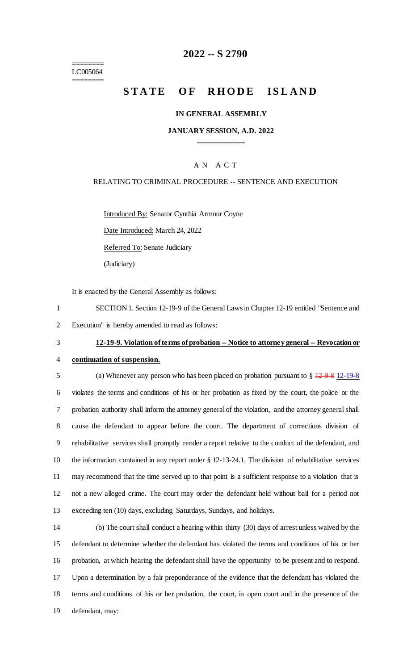======== LC005064 ========

## **2022 -- S 2790**

# **STATE OF RHODE ISLAND**

#### **IN GENERAL ASSEMBLY**

#### **JANUARY SESSION, A.D. 2022 \_\_\_\_\_\_\_\_\_\_\_\_**

### A N A C T

#### RELATING TO CRIMINAL PROCEDURE -- SENTENCE AND EXECUTION

Introduced By: Senator Cynthia Armour Coyne

Date Introduced: March 24, 2022

Referred To: Senate Judiciary

(Judiciary)

It is enacted by the General Assembly as follows:

1 SECTION 1. Section 12-19-9 of the General Laws in Chapter 12-19 entitled "Sentence and 2 Execution" is hereby amended to read as follows:

## 3 **12-19-9. Violation of terms of probation -- Notice to attorney general -- Revocation or**

## 4 **continuation of suspension.**

 (a) Whenever any person who has been placed on probation pursuant to § 12-9-8 12-19-8 violates the terms and conditions of his or her probation as fixed by the court, the police or the probation authority shall inform the attorney general of the violation, and the attorney general shall cause the defendant to appear before the court. The department of corrections division of rehabilitative services shall promptly render a report relative to the conduct of the defendant, and the information contained in any report under § 12-13-24.1. The division of rehabilitative services may recommend that the time served up to that point is a sufficient response to a violation that is not a new alleged crime. The court may order the defendant held without bail for a period not exceeding ten (10) days, excluding Saturdays, Sundays, and holidays.

 (b) The court shall conduct a hearing within thirty (30) days of arrest unless waived by the defendant to determine whether the defendant has violated the terms and conditions of his or her probation, at which hearing the defendant shall have the opportunity to be present and to respond. Upon a determination by a fair preponderance of the evidence that the defendant has violated the terms and conditions of his or her probation, the court, in open court and in the presence of the defendant, may: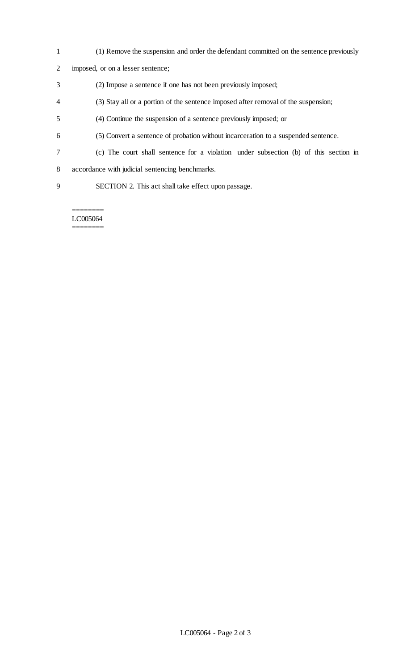- (1) Remove the suspension and order the defendant committed on the sentence previously
- imposed, or on a lesser sentence;
- (2) Impose a sentence if one has not been previously imposed;
- (3) Stay all or a portion of the sentence imposed after removal of the suspension;
- (4) Continue the suspension of a sentence previously imposed; or
- (5) Convert a sentence of probation without incarceration to a suspended sentence.
- (c) The court shall sentence for a violation under subsection (b) of this section in
- accordance with judicial sentencing benchmarks.
- SECTION 2. This act shall take effect upon passage.

======== LC005064 ========